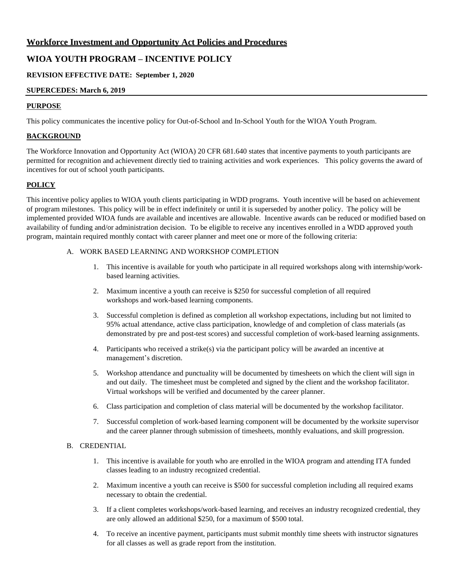## **Workforce Investment and Opportunity Act Policies and Procedures**

# **WIOA YOUTH PROGRAM – INCENTIVE POLICY**

## **REVISION EFFECTIVE DATE: September 1, 2020**

## **SUPERCEDES: March 6, 2019**

## **PURPOSE**

This policy communicates the incentive policy for Out-of-School and In-School Youth for the WIOA Youth Program.

## **BACKGROUND**

The Workforce Innovation and Opportunity Act (WIOA) 20 CFR 681.640 states that incentive payments to youth participants are permitted for recognition and achievement directly tied to training activities and work experiences. This policy governs the award of incentives for out of school youth participants.

## **POLICY**

This incentive policy applies to WIOA youth clients participating in WDD programs. Youth incentive will be based on achievement of program milestones. This policy will be in effect indefinitely or until it is superseded by another policy. The policy will be implemented provided WIOA funds are available and incentives are allowable. Incentive awards can be reduced or modified based on availability of funding and/or administration decision. To be eligible to receive any incentives enrolled in a WDD approved youth program, maintain required monthly contact with career planner and meet one or more of the following criteria:

#### A. WORK BASED LEARNING AND WORKSHOP COMPLETION

- 1. This incentive is available for youth who participate in all required workshops along with internship/workbased learning activities.
- 2. Maximum incentive a youth can receive is \$250 for successful completion of all required workshops and work-based learning components.
- 3. Successful completion is defined as completion all workshop expectations, including but not limited to 95% actual attendance, active class participation, knowledge of and completion of class materials (as demonstrated by pre and post-test scores) and successful completion of work-based learning assignments.
- 4. Participants who received a strike(s) via the participant policy will be awarded an incentive at management's discretion.
- 5. Workshop attendance and punctuality will be documented by timesheets on which the client will sign in and out daily. The timesheet must be completed and signed by the client and the workshop facilitator. Virtual workshops will be verified and documented by the career planner.
- 6. Class participation and completion of class material will be documented by the workshop facilitator.
- 7. Successful completion of work-based learning component will be documented by the worksite supervisor and the career planner through submission of timesheets, monthly evaluations, and skill progression.

#### B. CREDENTIAL

- 1. This incentive is available for youth who are enrolled in the WIOA program and attending ITA funded classes leading to an industry recognized credential.
- 2. Maximum incentive a youth can receive is \$500 for successful completion including all required exams necessary to obtain the credential.
- 3. If a client completes workshops/work-based learning, and receives an industry recognized credential, they are only allowed an additional \$250, for a maximum of \$500 total.
- 4. To receive an incentive payment, participants must submit monthly time sheets with instructor signatures for all classes as well as grade report from the institution.